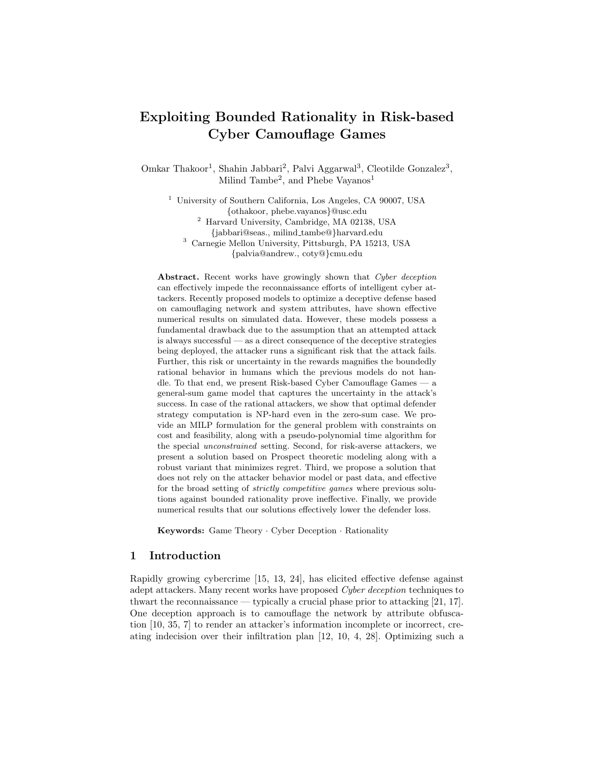# Exploiting Bounded Rationality in Risk-based Cyber Camouflage Games

Omkar Thakoor<sup>1</sup>, Shahin Jabbari<sup>2</sup>, Palvi Aggarwal<sup>3</sup>, Cleotilde Gonzalez<sup>3</sup>, Milind Tambe<sup>2</sup>, and Phebe Vayanos<sup>1</sup>

<sup>1</sup> University of Southern California, Los Angeles, CA 90007, USA {othakoor, phebe.vayanos}@usc.edu <sup>2</sup> Harvard University, Cambridge, MA 02138, USA {jabbari@seas., milind tambe@}harvard.edu <sup>3</sup> Carnegie Mellon University, Pittsburgh, PA 15213, USA {palvia@andrew., coty@}cmu.edu

Abstract. Recent works have growingly shown that Cyber deception can effectively impede the reconnaissance efforts of intelligent cyber attackers. Recently proposed models to optimize a deceptive defense based on camouflaging network and system attributes, have shown effective numerical results on simulated data. However, these models possess a fundamental drawback due to the assumption that an attempted attack is always successful — as a direct consequence of the deceptive strategies being deployed, the attacker runs a significant risk that the attack fails. Further, this risk or uncertainty in the rewards magnifies the boundedly rational behavior in humans which the previous models do not handle. To that end, we present Risk-based Cyber Camouflage Games — a general-sum game model that captures the uncertainty in the attack's success. In case of the rational attackers, we show that optimal defender strategy computation is NP-hard even in the zero-sum case. We provide an MILP formulation for the general problem with constraints on cost and feasibility, along with a pseudo-polynomial time algorithm for the special unconstrained setting. Second, for risk-averse attackers, we present a solution based on Prospect theoretic modeling along with a robust variant that minimizes regret. Third, we propose a solution that does not rely on the attacker behavior model or past data, and effective for the broad setting of strictly competitive games where previous solutions against bounded rationality prove ineffective. Finally, we provide numerical results that our solutions effectively lower the defender loss.

Keywords: Game Theory · Cyber Deception · Rationality

# 1 Introduction

Rapidly growing cybercrime [15, 13, 24], has elicited effective defense against adept attackers. Many recent works have proposed Cyber deception techniques to thwart the reconnaissance — typically a crucial phase prior to attacking [21, 17]. One deception approach is to camouflage the network by attribute obfuscation [10, 35, 7] to render an attacker's information incomplete or incorrect, creating indecision over their infiltration plan [12, 10, 4, 28]. Optimizing such a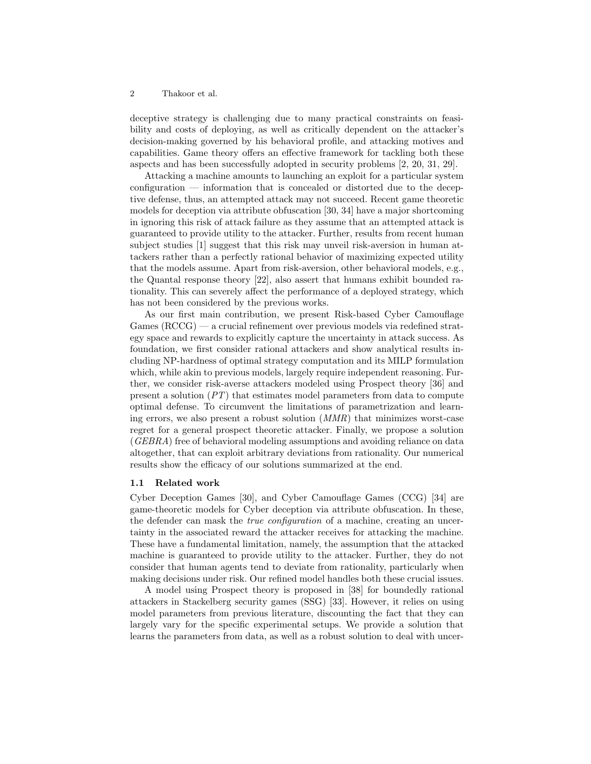deceptive strategy is challenging due to many practical constraints on feasibility and costs of deploying, as well as critically dependent on the attacker's decision-making governed by his behavioral profile, and attacking motives and capabilities. Game theory offers an effective framework for tackling both these aspects and has been successfully adopted in security problems [2, 20, 31, 29].

Attacking a machine amounts to launching an exploit for a particular system configuration — information that is concealed or distorted due to the deceptive defense, thus, an attempted attack may not succeed. Recent game theoretic models for deception via attribute obfuscation [30, 34] have a major shortcoming in ignoring this risk of attack failure as they assume that an attempted attack is guaranteed to provide utility to the attacker. Further, results from recent human subject studies [1] suggest that this risk may unveil risk-aversion in human attackers rather than a perfectly rational behavior of maximizing expected utility that the models assume. Apart from risk-aversion, other behavioral models, e.g., the Quantal response theory [22], also assert that humans exhibit bounded rationality. This can severely affect the performance of a deployed strategy, which has not been considered by the previous works.

As our first main contribution, we present Risk-based Cyber Camouflage Games (RCCG) — a crucial refinement over previous models via redefined strategy space and rewards to explicitly capture the uncertainty in attack success. As foundation, we first consider rational attackers and show analytical results including NP-hardness of optimal strategy computation and its MILP formulation which, while akin to previous models, largely require independent reasoning. Further, we consider risk-averse attackers modeled using Prospect theory [36] and present a solution  $(PT)$  that estimates model parameters from data to compute optimal defense. To circumvent the limitations of parametrization and learning errors, we also present a robust solution (MMR) that minimizes worst-case regret for a general prospect theoretic attacker. Finally, we propose a solution (GEBRA) free of behavioral modeling assumptions and avoiding reliance on data altogether, that can exploit arbitrary deviations from rationality. Our numerical results show the efficacy of our solutions summarized at the end.

## 1.1 Related work

Cyber Deception Games [30], and Cyber Camouflage Games (CCG) [34] are game-theoretic models for Cyber deception via attribute obfuscation. In these, the defender can mask the *true configuration* of a machine, creating an uncertainty in the associated reward the attacker receives for attacking the machine. These have a fundamental limitation, namely, the assumption that the attacked machine is guaranteed to provide utility to the attacker. Further, they do not consider that human agents tend to deviate from rationality, particularly when making decisions under risk. Our refined model handles both these crucial issues.

A model using Prospect theory is proposed in [38] for boundedly rational attackers in Stackelberg security games (SSG) [33]. However, it relies on using model parameters from previous literature, discounting the fact that they can largely vary for the specific experimental setups. We provide a solution that learns the parameters from data, as well as a robust solution to deal with uncer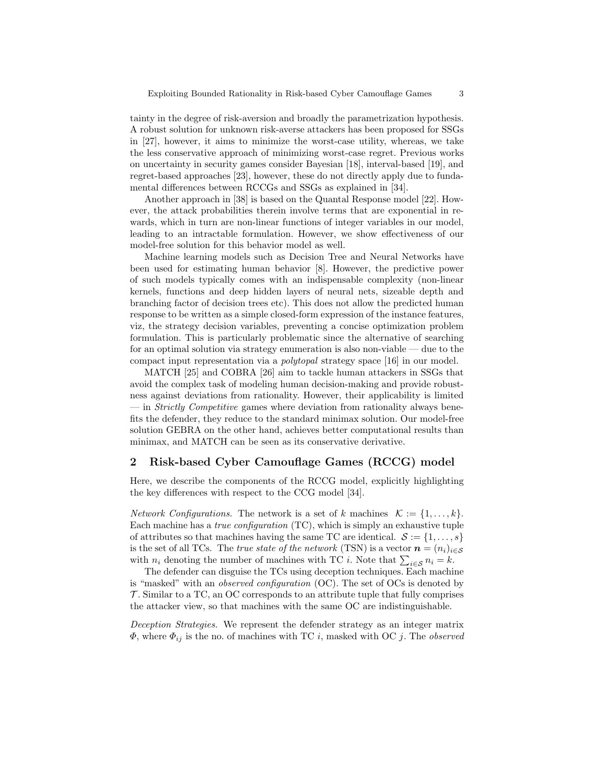tainty in the degree of risk-aversion and broadly the parametrization hypothesis. A robust solution for unknown risk-averse attackers has been proposed for SSGs in [27], however, it aims to minimize the worst-case utility, whereas, we take the less conservative approach of minimizing worst-case regret. Previous works on uncertainty in security games consider Bayesian [18], interval-based [19], and regret-based approaches [23], however, these do not directly apply due to fundamental differences between RCCGs and SSGs as explained in [34].

Another approach in [38] is based on the Quantal Response model [22]. However, the attack probabilities therein involve terms that are exponential in rewards, which in turn are non-linear functions of integer variables in our model, leading to an intractable formulation. However, we show effectiveness of our model-free solution for this behavior model as well.

Machine learning models such as Decision Tree and Neural Networks have been used for estimating human behavior [8]. However, the predictive power of such models typically comes with an indispensable complexity (non-linear kernels, functions and deep hidden layers of neural nets, sizeable depth and branching factor of decision trees etc). This does not allow the predicted human response to be written as a simple closed-form expression of the instance features, viz, the strategy decision variables, preventing a concise optimization problem formulation. This is particularly problematic since the alternative of searching for an optimal solution via strategy enumeration is also non-viable — due to the compact input representation via a polytopal strategy space [16] in our model.

MATCH [25] and COBRA [26] aim to tackle human attackers in SSGs that avoid the complex task of modeling human decision-making and provide robustness against deviations from rationality. However, their applicability is limited — in *Strictly Competitive* games where deviation from rationality always benefits the defender, they reduce to the standard minimax solution. Our model-free solution GEBRA on the other hand, achieves better computational results than minimax, and MATCH can be seen as its conservative derivative.

## 2 Risk-based Cyber Camouflage Games (RCCG) model

Here, we describe the components of the RCCG model, explicitly highlighting the key differences with respect to the CCG model [34].

*Network Configurations.* The network is a set of k machines  $\mathcal{K} := \{1, \ldots, k\}.$ Each machine has a true configuration (TC), which is simply an exhaustive tuple of attributes so that machines having the same TC are identical.  $\mathcal{S} := \{1, \ldots, s\}$ is the set of all TCs. The true state of the network (TSN) is a vector  $\mathbf{n} = (n_i)_{i \in \mathcal{S}}$ with  $n_i$  denoting the number of machines with TC *i*. Note that  $\sum_{i \in \mathcal{S}} n_i = k$ .

The defender can disguise the TCs using deception techniques. Each machine is "masked" with an observed configuration (OC). The set of OCs is denoted by  $\mathcal T$ . Similar to a TC, an OC corresponds to an attribute tuple that fully comprises the attacker view, so that machines with the same OC are indistinguishable.

Deception Strategies. We represent the defender strategy as an integer matrix  $\Phi$ , where  $\Phi_{ij}$  is the no. of machines with TC *i*, masked with OC *j*. The *observed*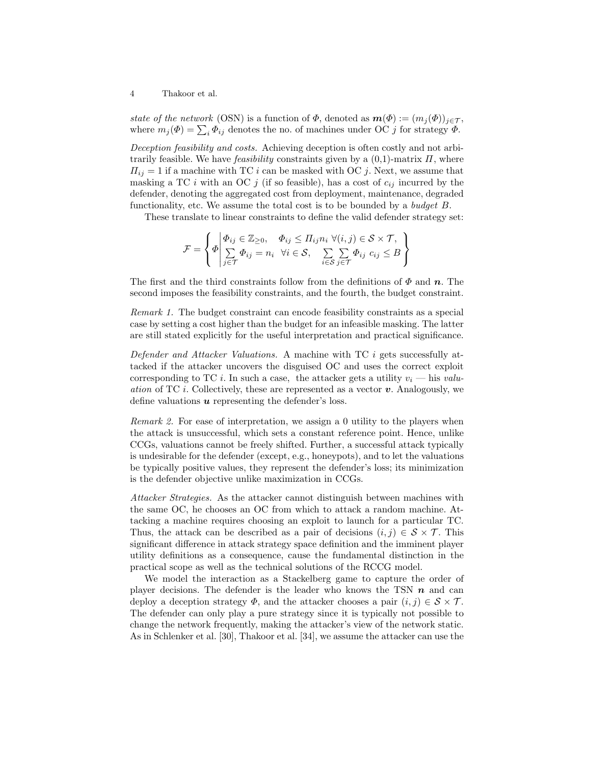state of the network (OSN) is a function of  $\Phi$ , denoted as  $\mathbf{m}(\Phi) := (m_i(\Phi))_{i \in \mathcal{T}}$ , where  $m_j(\Phi) = \sum_i \Phi_{ij}$  denotes the no. of machines under OC j for strategy  $\Phi$ .

Deception feasibility and costs. Achieving deception is often costly and not arbitrarily feasible. We have *feasibility* constraints given by a  $(0,1)$ -matrix  $\Pi$ , where  $\Pi_{ij} = 1$  if a machine with TC i can be masked with OC j. Next, we assume that masking a TC i with an OC j (if so feasible), has a cost of  $c_{ij}$  incurred by the defender, denoting the aggregated cost from deployment, maintenance, degraded functionality, etc. We assume the total cost is to be bounded by a budget B.

These translate to linear constraints to define the valid defender strategy set:

$$
\mathcal{F} = \left\{ \Phi \middle| \begin{aligned} & \Phi_{ij} \in \mathbb{Z}_{\geq 0}, & \Phi_{ij} \leq \Pi_{ij} n_i \; \forall (i, j) \in \mathcal{S} \times \mathcal{T}, \\ & \sum_{j \in \mathcal{T}} \Phi_{ij} = n_i \; \; \forall i \in \mathcal{S}, & \sum_{i \in \mathcal{S}} \sum_{j \in \mathcal{T}} \Phi_{ij} \; c_{ij} \leq B \end{aligned} \right\}
$$

The first and the third constraints follow from the definitions of  $\Phi$  and n. The second imposes the feasibility constraints, and the fourth, the budget constraint.

Remark 1. The budget constraint can encode feasibility constraints as a special case by setting a cost higher than the budget for an infeasible masking. The latter are still stated explicitly for the useful interpretation and practical significance.

Defender and Attacker Valuations. A machine with TC i gets successfully attacked if the attacker uncovers the disguised OC and uses the correct exploit corresponding to TC i. In such a case, the attacker gets a utility  $v_i$  — his valuation of TC i. Collectively, these are represented as a vector  $v$ . Analogously, we define valuations  $\boldsymbol{u}$  representing the defender's loss.

Remark 2. For ease of interpretation, we assign a 0 utility to the players when the attack is unsuccessful, which sets a constant reference point. Hence, unlike CCGs, valuations cannot be freely shifted. Further, a successful attack typically is undesirable for the defender (except, e.g., honeypots), and to let the valuations be typically positive values, they represent the defender's loss; its minimization is the defender objective unlike maximization in CCGs.

Attacker Strategies. As the attacker cannot distinguish between machines with the same OC, he chooses an OC from which to attack a random machine. Attacking a machine requires choosing an exploit to launch for a particular TC. Thus, the attack can be described as a pair of decisions  $(i, j) \in S \times T$ . This significant difference in attack strategy space definition and the imminent player utility definitions as a consequence, cause the fundamental distinction in the practical scope as well as the technical solutions of the RCCG model.

We model the interaction as a Stackelberg game to capture the order of player decisions. The defender is the leader who knows the TSN  $\boldsymbol{n}$  and can deploy a deception strategy  $\Phi$ , and the attacker chooses a pair  $(i, j) \in \mathcal{S} \times \mathcal{T}$ . The defender can only play a pure strategy since it is typically not possible to change the network frequently, making the attacker's view of the network static. As in Schlenker et al. [30], Thakoor et al. [34], we assume the attacker can use the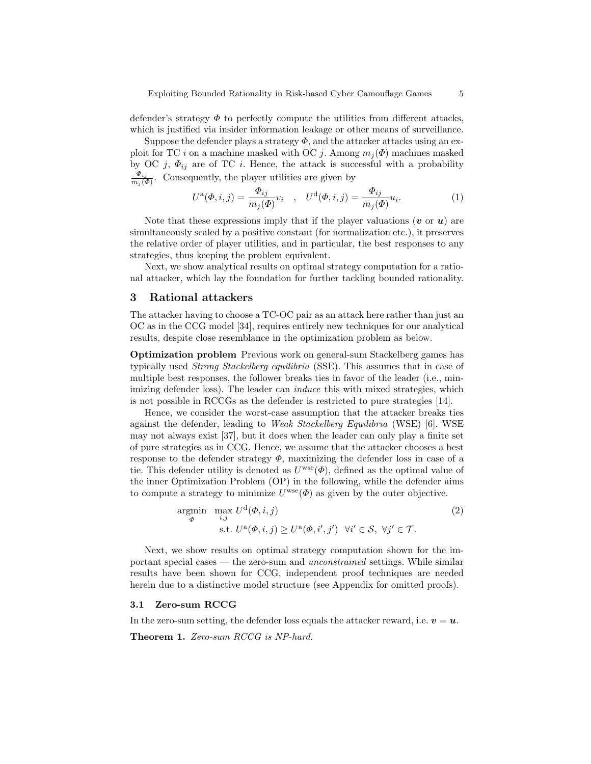defender's strategy  $\Phi$  to perfectly compute the utilities from different attacks, which is justified via insider information leakage or other means of surveillance.

Suppose the defender plays a strategy  $\Phi$ , and the attacker attacks using an exploit for TC i on a machine masked with OC j. Among  $m_i(\Phi)$  machines masked by OC j,  $\Phi_{ij}$  are of TC i. Hence, the attack is successful with a probability  $\Phi_{ij}$  $\frac{\Psi_{ij}}{m_j(\Phi)}$ . Consequently, the player utilities are given by

$$
U^{\mathbf{a}}(\Phi, i, j) = \frac{\Phi_{ij}}{m_j(\Phi)} v_i \quad , \quad U^{\mathbf{d}}(\Phi, i, j) = \frac{\Phi_{ij}}{m_j(\Phi)} u_i.
$$
 (1)

Note that these expressions imply that if the player valuations ( $\bf{v}$  or  $\bf{u}$ ) are simultaneously scaled by a positive constant (for normalization etc.), it preserves the relative order of player utilities, and in particular, the best responses to any strategies, thus keeping the problem equivalent.

Next, we show analytical results on optimal strategy computation for a rational attacker, which lay the foundation for further tackling bounded rationality.

#### 3 Rational attackers

The attacker having to choose a TC-OC pair as an attack here rather than just an OC as in the CCG model [34], requires entirely new techniques for our analytical results, despite close resemblance in the optimization problem as below.

Optimization problem Previous work on general-sum Stackelberg games has typically used Strong Stackelberg equilibria (SSE). This assumes that in case of multiple best responses, the follower breaks ties in favor of the leader (i.e., minimizing defender loss). The leader can *induce* this with mixed strategies, which is not possible in RCCGs as the defender is restricted to pure strategies [14].

Hence, we consider the worst-case assumption that the attacker breaks ties against the defender, leading to Weak Stackelberg Equilibria (WSE) [6]. WSE may not always exist [37], but it does when the leader can only play a finite set of pure strategies as in CCG. Hence, we assume that the attacker chooses a best response to the defender strategy  $\Phi$ , maximizing the defender loss in case of a tie. This defender utility is denoted as  $U^{\text{wse}}(\Phi)$ , defined as the optimal value of the inner Optimization Problem (OP) in the following, while the defender aims to compute a strategy to minimize  $U^{\text{wse}}(\Phi)$  as given by the outer objective.

$$
\underset{\Phi}{\text{argmin}} \quad \underset{i,j}{\text{max}} \quad U^{\text{d}}(\Phi, i, j) \tag{2}
$$
\n
$$
\text{s.t.} \quad U^{\text{a}}(\Phi, i, j) \ge U^{\text{a}}(\Phi, i', j') \quad \forall i' \in \mathcal{S}, \ \forall j' \in \mathcal{T}.
$$

Next, we show results on optimal strategy computation shown for the important special cases — the zero-sum and unconstrained settings. While similar results have been shown for CCG, independent proof techniques are needed herein due to a distinctive model structure (see Appendix for omitted proofs).

#### 3.1 Zero-sum RCCG

In the zero-sum setting, the defender loss equals the attacker reward, i.e.  $v = u$ .

Theorem 1. Zero-sum RCCG is NP-hard.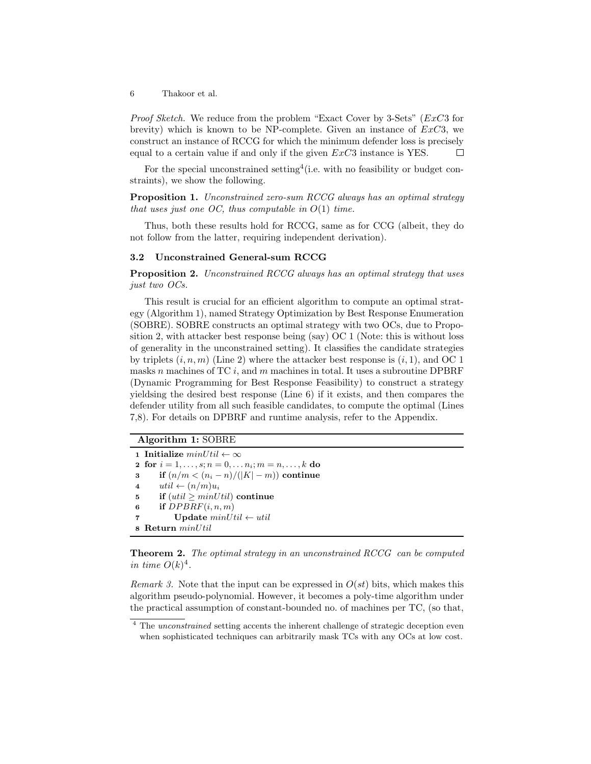Proof Sketch. We reduce from the problem "Exact Cover by 3-Sets" (ExC3 for brevity) which is known to be NP-complete. Given an instance of  $ExC3$ , we construct an instance of RCCG for which the minimum defender loss is precisely equal to a certain value if and only if the given  $ExC3$  instance is YES.  $\Box$ 

For the special unconstrained setting<sup>4</sup> (i.e. with no feasibility or budget constraints), we show the following.

Proposition 1. Unconstrained zero-sum RCCG always has an optimal strategy that uses just one OC, thus computable in  $O(1)$  time.

Thus, both these results hold for RCCG, same as for CCG (albeit, they do not follow from the latter, requiring independent derivation).

### 3.2 Unconstrained General-sum RCCG

**Proposition 2.** Unconstrained RCCG always has an optimal strategy that uses just two OCs.

This result is crucial for an efficient algorithm to compute an optimal strategy (Algorithm 1), named Strategy Optimization by Best Response Enumeration (SOBRE). SOBRE constructs an optimal strategy with two OCs, due to Proposition 2, with attacker best response being (say) OC 1 (Note: this is without loss of generality in the unconstrained setting). It classifies the candidate strategies by triplets  $(i, n, m)$  (Line 2) where the attacker best response is  $(i, 1)$ , and OC 1 masks n machines of TC i, and m machines in total. It uses a subroutine DPBRF (Dynamic Programming for Best Response Feasibility) to construct a strategy yieldsing the desired best response (Line 6) if it exists, and then compares the defender utility from all such feasible candidates, to compute the optimal (Lines 7,8). For details on DPBRF and runtime analysis, refer to the Appendix.

Algorithm 1: SOBRE

1 Initialize  $minUtil \leftarrow \infty$ 2 for  $i = 1, ..., s; n = 0, ..., n_i; m = n, ..., k$  do 3 if  $(n/m < (n_i - n)/(|K| - m))$  continue 4  $util \leftarrow (n/m)u_i$ 5 if  $(util > minUtil)$  continue 6 if  $DPBRF(i, n, m)$ 7 Update  $minUtil \leftarrow util$  $\,$  8 Return  $minUtil$ 

**Theorem 2.** The optimal strategy in an unconstrained RCCG can be computed in time  $O(k)^4$ .

Remark 3. Note that the input can be expressed in  $O(st)$  bits, which makes this algorithm pseudo-polynomial. However, it becomes a poly-time algorithm under the practical assumption of constant-bounded no. of machines per TC, (so that,

<sup>&</sup>lt;sup>4</sup> The *unconstrained* setting accents the inherent challenge of strategic deception even when sophisticated techniques can arbitrarily mask TCs with any OCs at low cost.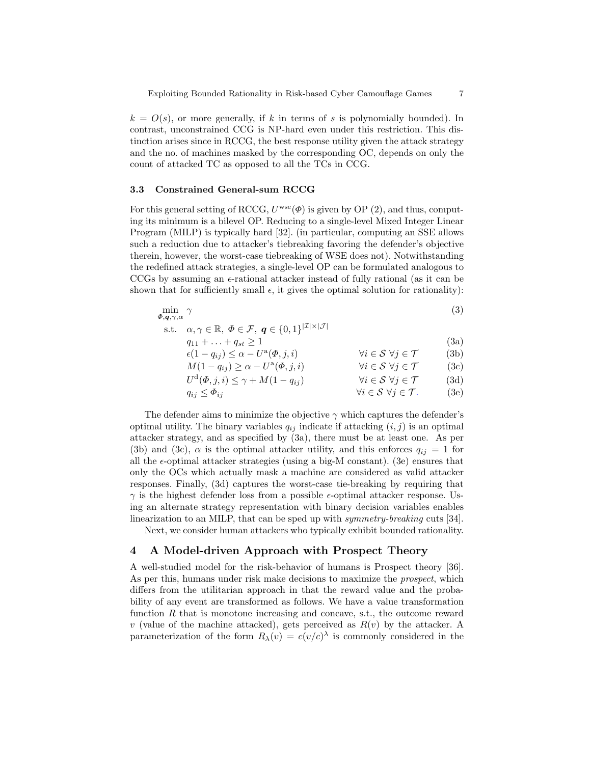$k = O(s)$ , or more generally, if k in terms of s is polynomially bounded). In contrast, unconstrained CCG is NP-hard even under this restriction. This distinction arises since in RCCG, the best response utility given the attack strategy and the no. of machines masked by the corresponding OC, depends on only the count of attacked TC as opposed to all the TCs in CCG.

#### 3.3 Constrained General-sum RCCG

For this general setting of RCCG,  $U^{\text{wse}}(\Phi)$  is given by OP (2), and thus, computing its minimum is a bilevel OP. Reducing to a single-level Mixed Integer Linear Program (MILP) is typically hard [32]. (in particular, computing an SSE allows such a reduction due to attacker's tiebreaking favoring the defender's objective therein, however, the worst-case tiebreaking of WSE does not). Notwithstanding the redefined attack strategies, a single-level OP can be formulated analogous to CCGs by assuming an  $\epsilon$ -rational attacker instead of fully rational (as it can be shown that for sufficiently small  $\epsilon$ , it gives the optimal solution for rationality):

$$
\min_{\Phi, \mathbf{q}, \gamma, \alpha} \gamma \tag{3}
$$

s.t. 
$$
\alpha, \gamma \in \mathbb{R}, \Phi \in \mathcal{F}, \mathbf{q} \in \{0,1\}^{|\mathcal{I}| \times |\mathcal{J}|}
$$
  
\n $q_{11} + \ldots + q_{st} \ge 1$   
\n $\epsilon(1 - q_{ij}) \le \alpha - U^a(\Phi, j, i)$   
\n $M(1 - q_{ij}) \ge \alpha - U^a(\Phi, j, i)$   
\n $U^d(\Phi, j, i) \le \gamma + M(1 - q_{ij})$   
\n $q_{ij} \le \Phi_{ij}$   
\n $\forall i \in \mathcal{S} \ \forall j \in \mathcal{T}$   
\n $\forall i \in \mathcal{S} \ \forall j \in \mathcal{T}$   
\n(3a)  
\n $\forall i \in \mathcal{S} \ \forall j \in \mathcal{T}$   
\n(3b)  
\n $\forall i \in \mathcal{S} \ \forall j \in \mathcal{T}$   
\n(3c)  
\n $\forall i \in \mathcal{S} \ \forall j \in \mathcal{T}$   
\n(3d)  
\n $\forall i \in \mathcal{S} \ \forall j \in \mathcal{T}$   
\n(3e)

The defender aims to minimize the objective  $\gamma$  which captures the defender's optimal utility. The binary variables  $q_{ij}$  indicate if attacking  $(i, j)$  is an optimal attacker strategy, and as specified by (3a), there must be at least one. As per (3b) and (3c),  $\alpha$  is the optimal attacker utility, and this enforces  $q_{ij} = 1$  for all the  $\epsilon$ -optimal attacker strategies (using a big-M constant). (3e) ensures that only the OCs which actually mask a machine are considered as valid attacker responses. Finally, (3d) captures the worst-case tie-breaking by requiring that  $\gamma$  is the highest defender loss from a possible  $\epsilon$ -optimal attacker response. Using an alternate strategy representation with binary decision variables enables linearization to an MILP, that can be sped up with symmetry-breaking cuts [34].

Next, we consider human attackers who typically exhibit bounded rationality.

# 4 A Model-driven Approach with Prospect Theory

A well-studied model for the risk-behavior of humans is Prospect theory [36]. As per this, humans under risk make decisions to maximize the prospect, which differs from the utilitarian approach in that the reward value and the probability of any event are transformed as follows. We have a value transformation function  $R$  that is monotone increasing and concave, s.t., the outcome reward v (value of the machine attacked), gets perceived as  $R(v)$  by the attacker. A parameterization of the form  $R_{\lambda}(v) = c(v/c)^{\lambda}$  is commonly considered in the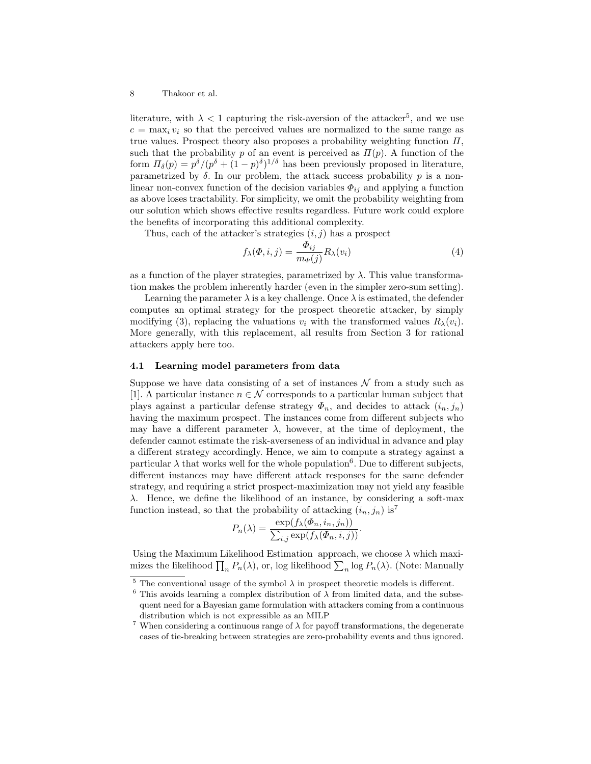literature, with  $\lambda < 1$  capturing the risk-aversion of the attacker<sup>5</sup>, and we use  $c = \max_i v_i$  so that the perceived values are normalized to the same range as true values. Prospect theory also proposes a probability weighting function  $\Pi$ , such that the probability p of an event is perceived as  $\Pi(p)$ . A function of the form  $\Pi_{\delta}(p) = p^{\delta} / (p^{\delta} + (1-p)^{\delta})^{1/\delta}$  has been previously proposed in literature, parametrized by  $\delta$ . In our problem, the attack success probability p is a nonlinear non-convex function of the decision variables  $\Phi_{ij}$  and applying a function as above loses tractability. For simplicity, we omit the probability weighting from our solution which shows effective results regardless. Future work could explore the benefits of incorporating this additional complexity.

Thus, each of the attacker's strategies  $(i, j)$  has a prospect

$$
f_{\lambda}(\Phi, i, j) = \frac{\Phi_{ij}}{m_{\Phi}(j)} R_{\lambda}(v_i)
$$
\n(4)

as a function of the player strategies, parametrized by  $\lambda$ . This value transformation makes the problem inherently harder (even in the simpler zero-sum setting).

Learning the parameter  $\lambda$  is a key challenge. Once  $\lambda$  is estimated, the defender computes an optimal strategy for the prospect theoretic attacker, by simply modifying (3), replacing the valuations  $v_i$  with the transformed values  $R_\lambda(v_i)$ . More generally, with this replacement, all results from Section 3 for rational attackers apply here too.

#### 4.1 Learning model parameters from data

Suppose we have data consisting of a set of instances  $\mathcal N$  from a study such as [1]. A particular instance  $n \in \mathcal{N}$  corresponds to a particular human subject that plays against a particular defense strategy  $\Phi_n$ , and decides to attack  $(i_n, j_n)$ having the maximum prospect. The instances come from different subjects who may have a different parameter  $\lambda$ , however, at the time of deployment, the defender cannot estimate the risk-averseness of an individual in advance and play a different strategy accordingly. Hence, we aim to compute a strategy against a particular  $\lambda$  that works well for the whole population<sup>6</sup>. Due to different subjects, different instances may have different attack responses for the same defender strategy, and requiring a strict prospect-maximization may not yield any feasible λ. Hence, we define the likelihood of an instance, by considering a soft-max function instead, so that the probability of attacking  $(i_n, j_n)$  is<sup>7</sup>

$$
P_n(\lambda) = \frac{\exp(f_{\lambda}(\Phi_n, i_n, j_n))}{\sum_{i,j} \exp(f_{\lambda}(\Phi_n, i, j))}.
$$

Using the Maximum Likelihood Estimation approach, we choose  $\lambda$  which maximizes the likelihood  $\prod_n P_n(\lambda)$ , or, log likelihood  $\sum_n \log P_n(\lambda)$ . (Note: Manually

<sup>&</sup>lt;sup>5</sup> The conventional usage of the symbol  $\lambda$  in prospect theoretic models is different.

<sup>&</sup>lt;sup>6</sup> This avoids learning a complex distribution of  $\lambda$  from limited data, and the subsequent need for a Bayesian game formulation with attackers coming from a continuous distribution which is not expressible as an MILP

 $^7$  When considering a continuous range of  $\lambda$  for payoff transformations, the degenerate cases of tie-breaking between strategies are zero-probability events and thus ignored.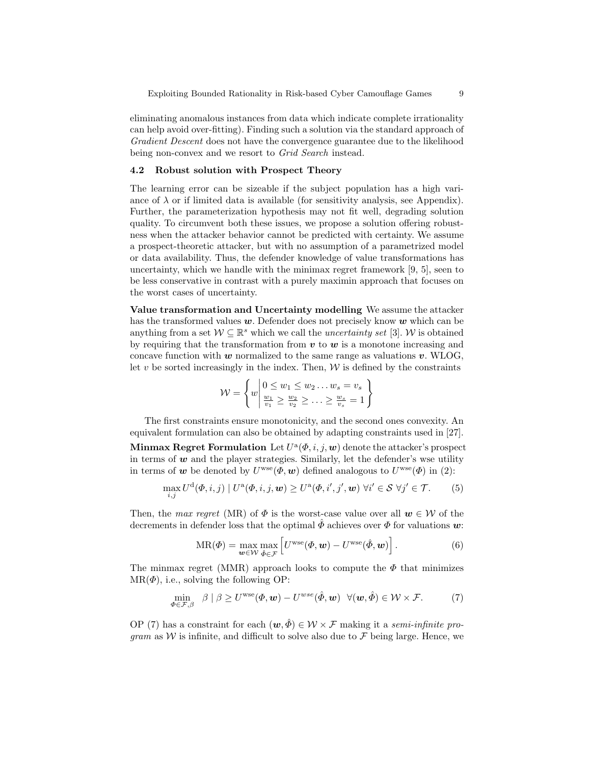eliminating anomalous instances from data which indicate complete irrationality can help avoid over-fitting). Finding such a solution via the standard approach of Gradient Descent does not have the convergence guarantee due to the likelihood being non-convex and we resort to *Grid Search* instead.

#### 4.2 Robust solution with Prospect Theory

The learning error can be sizeable if the subject population has a high variance of  $\lambda$  or if limited data is available (for sensitivity analysis, see Appendix). Further, the parameterization hypothesis may not fit well, degrading solution quality. To circumvent both these issues, we propose a solution offering robustness when the attacker behavior cannot be predicted with certainty. We assume a prospect-theoretic attacker, but with no assumption of a parametrized model or data availability. Thus, the defender knowledge of value transformations has uncertainty, which we handle with the minimax regret framework [9, 5], seen to be less conservative in contrast with a purely maximin approach that focuses on the worst cases of uncertainty.

Value transformation and Uncertainty modelling We assume the attacker has the transformed values  $w$ . Defender does not precisely know  $w$  which can be anything from a set  $W \subseteq \mathbb{R}^s$  which we call the *uncertainty set* [3]. W is obtained by requiring that the transformation from  $v$  to  $w$  is a monotone increasing and concave function with w normalized to the same range as valuations  $v$ . WLOG, let v be sorted increasingly in the index. Then,  $\mathcal W$  is defined by the constraints

$$
\mathcal{W} = \left\{ w \middle| \begin{matrix} 0 \leq w_1 \leq w_2 \dots w_s = v_s \\ \frac{w_1}{v_1} \geq \frac{w_2}{v_2} \geq \dots \geq \frac{w_s}{v_s} = 1 \end{matrix} \right\}
$$

The first constraints ensure monotonicity, and the second ones convexity. An equivalent formulation can also be obtained by adapting constraints used in [27].

Minmax Regret Formulation Let  $U^{\mathfrak{a}}(\Phi, i, j, w)$  denote the attacker's prospect in terms of  $w$  and the player strategies. Similarly, let the defender's wse utility in terms of w be denoted by  $U^{\text{wse}}(\Phi, w)$  defined analogous to  $U^{\text{wse}}(\Phi)$  in (2):

$$
\max_{i,j} U^{\mathrm{d}}(\Phi,i,j) \mid U^{\mathrm{a}}(\Phi,i,j,\boldsymbol{w}) \ge U^{\mathrm{a}}(\Phi,i',j',\boldsymbol{w}) \,\,\forall i' \in \mathcal{S} \,\,\forall j' \in \mathcal{T}.\tag{5}
$$

Then, the max regret (MR) of  $\Phi$  is the worst-case value over all  $w \in \mathcal{W}$  of the decrements in defender loss that the optimal  $\tilde{\Phi}$  achieves over  $\Phi$  for valuations w:

$$
MR(\Phi) = \max_{\boldsymbol{w} \in \mathcal{W}} \max_{\hat{\Phi} \in \mathcal{F}} \left[ U^{\text{wse}}(\Phi, \boldsymbol{w}) - U^{\text{wse}}(\hat{\Phi}, \boldsymbol{w}) \right]. \tag{6}
$$

The minmax regret (MMR) approach looks to compute the  $\Phi$  that minimizes  $MR(\Phi)$ , i.e., solving the following OP:

$$
\min_{\Phi \in \mathcal{F}, \beta} \beta \mid \beta \geq U^{\text{wse}}(\Phi, \mathbf{w}) - U^{\text{wse}}(\hat{\Phi}, \mathbf{w}) \ \ \forall (\mathbf{w}, \hat{\Phi}) \in \mathcal{W} \times \mathcal{F}. \tag{7}
$$

OP (7) has a constraint for each  $(\mathbf{w}, \hat{\Phi}) \in \mathcal{W} \times \mathcal{F}$  making it a semi-infinite pro*gram* as W is infinite, and difficult to solve also due to  $\mathcal F$  being large. Hence, we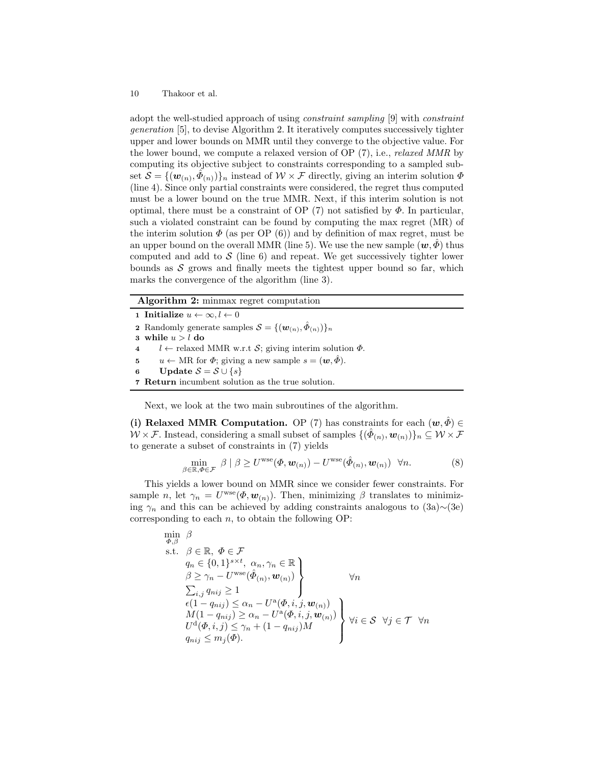adopt the well-studied approach of using constraint sampling [9] with constraint generation [5], to devise Algorithm 2. It iteratively computes successively tighter upper and lower bounds on MMR until they converge to the objective value. For the lower bound, we compute a relaxed version of OP (7), i.e., relaxed MMR by computing its objective subject to constraints corresponding to a sampled subset  $\mathcal{S} = \{(\boldsymbol{w}_{(n)}, \tilde{\boldsymbol{\phi}}_{(n)})\}_n$  instead of  $\mathcal{W} \times \mathcal{F}$  directly, giving an interim solution  $\Phi$ (line 4). Since only partial constraints were considered, the regret thus computed must be a lower bound on the true MMR. Next, if this interim solution is not optimal, there must be a constraint of OP (7) not satisfied by  $\Phi$ . In particular, such a violated constraint can be found by computing the max regret (MR) of the interim solution  $\Phi$  (as per OP (6)) and by definition of max regret, must be an upper bound on the overall MMR (line 5). We use the new sample  $(w, \bar{\phi})$  thus computed and add to  $S$  (line 6) and repeat. We get successively tighter lower bounds as  $S$  grows and finally meets the tightest upper bound so far, which marks the convergence of the algorithm (line 3).

Algorithm 2: minmax regret computation

1 Initialize  $u \leftarrow \infty, l \leftarrow 0$ 2 Randomly generate samples  $S = \{(\boldsymbol{w}_{(n)}, \hat{\phi}_{(n)})\}_n$ 3 while  $u > l$  do 4  $l \leftarrow$  relaxed MMR w.r.t  $S$ ; giving interim solution  $\Phi$ . 5  $u \leftarrow \text{MR}$  for  $\Phi$ ; giving a new sample  $s = (\boldsymbol{w}, \hat{\Phi})$ . Update  $S = S \cup \{s\}$ 7 Return incumbent solution as the true solution.

Next, we look at the two main subroutines of the algorithm.

(i) Relaxed MMR Computation. OP (7) has constraints for each  $(w, \tilde{\phi}) \in$  $W \times \mathcal{F}$ . Instead, considering a small subset of samples  $\{(\hat{\phi}_{(n)}, \mathbf{w}_{(n)})\}_n \subseteq W \times \mathcal{F}$ to generate a subset of constraints in (7) yields

$$
\min_{\beta \in \mathbb{R}, \Phi \in \mathcal{F}} \beta \mid \beta \ge U^{\text{wse}}(\Phi, \mathbf{w}_{(n)}) - U^{\text{wse}}(\hat{\Phi}_{(n)}, \mathbf{w}_{(n)}) \quad \forall n. \tag{8}
$$

This yields a lower bound on MMR since we consider fewer constraints. For sample n, let  $\gamma_n = U^{\text{wse}}(\Phi, \mathbf{w}_{(n)})$ . Then, minimizing  $\beta$  translates to minimizing  $\gamma_n$  and this can be achieved by adding constraints analogous to (3a)∼(3e) corresponding to each  $n$ , to obtain the following OP:

$$
\min_{\Phi,\beta} \beta
$$
\n
$$
\text{s.t. } \beta \in \mathbb{R}, \ \Phi \in \mathcal{F}
$$
\n
$$
q_n \in \{0,1\}^{s \times t}, \ \alpha_n, \gamma_n \in \mathbb{R}
$$
\n
$$
\beta \ge \gamma_n - U^{\text{wse}}(\hat{\Phi}_{(n)}, \mathbf{w}_{(n)})
$$
\n
$$
\sum_{i,j} q_{nij} \ge 1
$$
\n
$$
\epsilon(1 - q_{nij}) \le \alpha_n - U^{\text{a}}(\Phi, i, j, \mathbf{w}_{(n)})
$$
\n
$$
M(1 - q_{nij}) \ge \alpha_n - U^{\text{a}}(\Phi, i, j, \mathbf{w}_{(n)})
$$
\n
$$
U^{\text{d}}(\Phi, i, j) \le \gamma_n + (1 - q_{nij})M
$$
\n
$$
q_{nij} \le m_j(\Phi).
$$
\n
$$
\left.\begin{array}{c}\n\forall n \\
\text{if } \lambda \in \mathcal{S} \\
\text{if } \lambda \in \mathcal{S} \\
\text{if } \lambda \in \mathcal{S} \\
\text{if } \lambda \in \mathcal{S} \\
\text{if } \lambda \in \mathcal{S} \\
\text{if } \lambda \in \mathcal{S} \\
\text{if } \lambda \in \mathcal{S} \\
\text{if } \lambda \in \mathcal{S} \\
\text{if } \lambda \in \mathcal{S} \\
\text{if } \lambda \in \mathcal{S} \\
\text{if } \lambda \in \mathcal{S} \\
\text{if } \lambda \in \mathcal{S} \\
\text{if } \lambda \in \mathcal{S} \\
\text{if } \lambda \in \mathcal{S} \\
\text{if } \lambda \in \mathcal{S} \\
\text{if } \lambda \in \mathcal{S} \\
\text{if } \lambda \in \mathcal{S} \\
\text{if } \lambda \in \mathcal{S} \\
\text{if } \lambda \in \mathcal{S} \\
\text{if } \lambda \in \mathcal{S} \\
\text{if } \lambda \in \mathcal{S} \\
\text{if } \lambda \in \mathcal{S} \\
\text{if } \lambda \in \mathcal{S} \\
\text{if } \lambda \in \mathcal{S} \\
\text{if } \lambda \in \mathcal{S} \\
\text{if } \lambda \in \mathcal{S} \\
\text{if } \lambda \in \mathcal
$$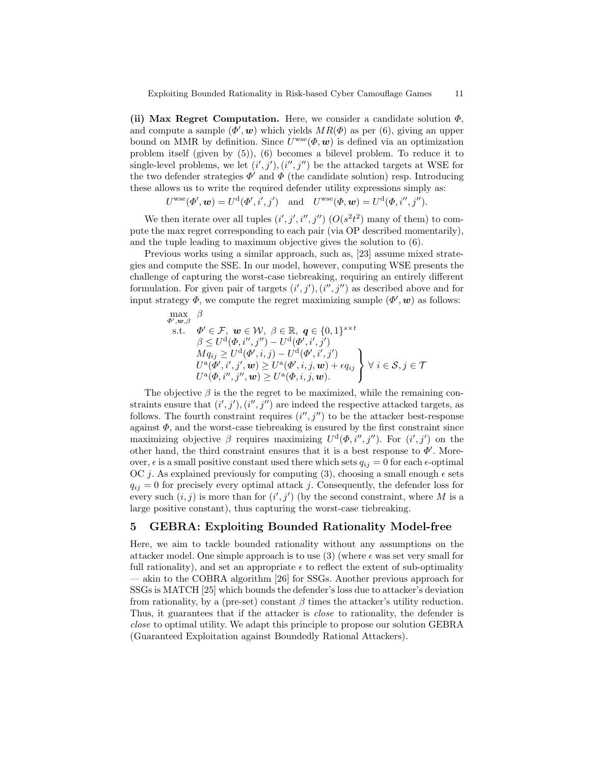(ii) Max Regret Computation. Here, we consider a candidate solution  $\Phi$ , and compute a sample  $(\Phi', w)$  which yields  $MR(\Phi)$  as per (6), giving an upper bound on MMR by definition. Since  $U^{\text{wse}}(\phi, w)$  is defined via an optimization problem itself (given by (5)), (6) becomes a bilevel problem. To reduce it to single-level problems, we let  $(i', j'), (i'', j'')$  be the attacked targets at WSE for the two defender strategies  $\Phi'$  and  $\Phi$  (the candidate solution) resp. Introducing these allows us to write the required defender utility expressions simply as:

$$
U^{\text{wse}}(\boldsymbol{\varPhi}', \boldsymbol{w}) = U^{\text{d}}(\boldsymbol{\varPhi}', i', j') \quad \text{and} \quad U^{\text{wse}}(\boldsymbol{\varPhi}, \boldsymbol{w}) = U^{\text{d}}(\boldsymbol{\varPhi}, i'', j'').
$$

We then iterate over all tuples  $(i', j', i'', j'')$   $(O(s^2 t^2)$  many of them) to compute the max regret corresponding to each pair (via OP described momentarily), and the tuple leading to maximum objective gives the solution to (6).

Previous works using a similar approach, such as, [23] assume mixed strategies and compute the SSE. In our model, however, computing WSE presents the challenge of capturing the worst-case tiebreaking, requiring an entirely different formulation. For given pair of targets  $(i', j'), (i'', j'')$  as described above and for input strategy  $\Phi$ , we compute the regret maximizing sample  $(\Phi', \mathbf{w})$  as follows:  $m \geq 1$  $\overline{a}$ 

$$
\begin{aligned}\n\min_{\boldsymbol{\Phi}', \boldsymbol{w}, \beta} & \beta \\
\text{s.t.} & \boldsymbol{\Phi}' \in \mathcal{F}, \ \boldsymbol{w} \in \mathcal{W}, \ \beta \in \mathbb{R}, \ \boldsymbol{q} \in \{0, 1\}^{s \times t} \\
& \beta \le U^{\mathrm{d}}(\boldsymbol{\Phi}, i'', j'') - U^{\mathrm{d}}(\boldsymbol{\Phi}', i', j') \\
& M q_{ij} \ge U^{\mathrm{d}}(\boldsymbol{\Phi}', i, j) - U^{\mathrm{d}}(\boldsymbol{\Phi}', i', j') \\
& U^{\mathrm{a}}(\boldsymbol{\Phi}', i', j', \boldsymbol{w}) \ge U^{\mathrm{a}}(\boldsymbol{\Phi}', i, j, \boldsymbol{w}) + \epsilon q_{ij} \\
& \forall i \in \mathcal{S}, j \in \mathcal{T} \\
& U^{\mathrm{a}}(\boldsymbol{\Phi}, i'', j'', \boldsymbol{w}) \ge U^{\mathrm{a}}(\boldsymbol{\Phi}, i, j, \boldsymbol{w}).\n\end{aligned}
$$

The objective  $\beta$  is the the regret to be maximized, while the remaining constraints ensure that  $(i', j'), (i'', j'')$  are indeed the respective attacked targets, as follows. The fourth constraint requires  $(i'', j'')$  to be the attacker best-response against  $\Phi$ , and the worst-case tiebreaking is ensured by the first constraint since maximizing objective  $\beta$  requires maximizing  $U^{\text{d}}(\phi, i'', j'')$ . For  $(i', j')$  on the other hand, the third constraint ensures that it is a best response to  $\Phi'$ . Moreover,  $\epsilon$  is a small positive constant used there which sets  $q_{ij} = 0$  for each  $\epsilon$ -optimal OC j. As explained previously for computing (3), choosing a small enough  $\epsilon$  sets  $q_{ij} = 0$  for precisely every optimal attack j. Consequently, the defender loss for every such  $(i, j)$  is more than for  $(i', j')$  (by the second constraint, where M is a large positive constant), thus capturing the worst-case tiebreaking.

### 5 GEBRA: Exploiting Bounded Rationality Model-free

Here, we aim to tackle bounded rationality without any assumptions on the attacker model. One simple approach is to use (3) (where  $\epsilon$  was set very small for full rationality), and set an appropriate  $\epsilon$  to reflect the extent of sub-optimality — akin to the COBRA algorithm [26] for SSGs. Another previous approach for SSGs is MATCH [25] which bounds the defender's loss due to attacker's deviation from rationality, by a (pre-set) constant  $\beta$  times the attacker's utility reduction. Thus, it guarantees that if the attacker is *close* to rationality, the defender is close to optimal utility. We adapt this principle to propose our solution GEBRA (Guaranteed Exploitation against Boundedly Rational Attackers).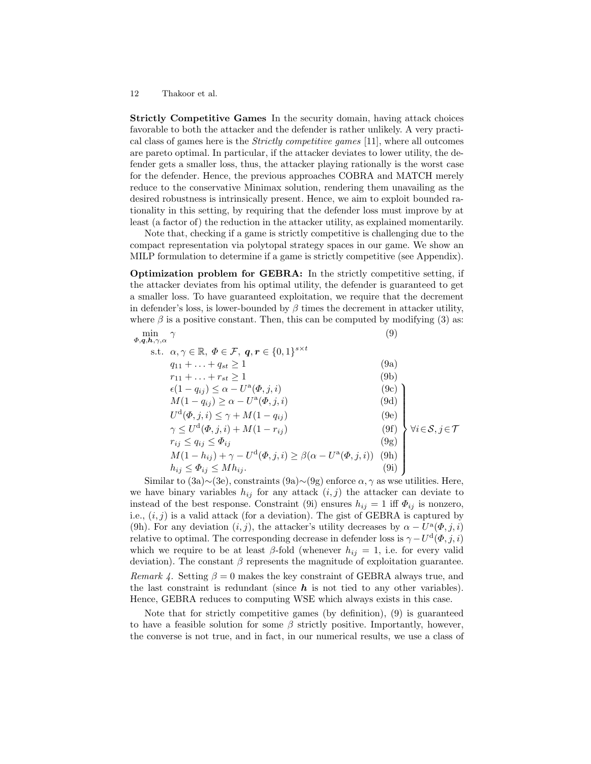Strictly Competitive Games In the security domain, having attack choices favorable to both the attacker and the defender is rather unlikely. A very practical class of games here is the Strictly competitive games [11], where all outcomes are pareto optimal. In particular, if the attacker deviates to lower utility, the defender gets a smaller loss, thus, the attacker playing rationally is the worst case for the defender. Hence, the previous approaches COBRA and MATCH merely reduce to the conservative Minimax solution, rendering them unavailing as the desired robustness is intrinsically present. Hence, we aim to exploit bounded rationality in this setting, by requiring that the defender loss must improve by at least (a factor of) the reduction in the attacker utility, as explained momentarily.

Note that, checking if a game is strictly competitive is challenging due to the compact representation via polytopal strategy spaces in our game. We show an MILP formulation to determine if a game is strictly competitive (see Appendix).

Optimization problem for GEBRA: In the strictly competitive setting, if the attacker deviates from his optimal utility, the defender is guaranteed to get a smaller loss. To have guaranteed exploitation, we require that the decrement in defender's loss, is lower-bounded by  $\beta$  times the decrement in attacker utility, where  $\beta$  is a positive constant. Then, this can be computed by modifying (3) as:

| mın<br>$\varPhi, \bm{q}, \bm{h}, \gamma, \alpha$ |                                                                                                                 | (9)  |                                                |
|--------------------------------------------------|-----------------------------------------------------------------------------------------------------------------|------|------------------------------------------------|
|                                                  | s.t. $\alpha, \gamma \in \mathbb{R}, \ \Phi \in \mathcal{F}, \ \mathbf{q}, \mathbf{r} \in \{0,1\}^{s \times t}$ |      |                                                |
|                                                  | $q_{11} + \ldots + q_{st} > 1$                                                                                  | (9a) |                                                |
|                                                  | $r_{11} + \ldots + r_{st} \geq 1$                                                                               | (9b) |                                                |
|                                                  | $\epsilon(1-q_{ij}) \leq \alpha - U^{\rm a}(\Phi, j, i)$                                                        | (9c) |                                                |
|                                                  | $M(1-q_{ij}) \geq \alpha - U^{\rm a}(\Phi, j, i)$                                                               | (9d) |                                                |
|                                                  | $U^{\rm d}(\Phi, j, i) \leq \gamma + M(1 - q_{ij})$                                                             | (9e) |                                                |
|                                                  | $\gamma \leq U^{\rm d}(\varPhi, j, i) + M(1-r_{ij})$                                                            | (9f) | $\forall i \in \mathcal{S}, j \in \mathcal{T}$ |
|                                                  | $r_{ij} \leq q_{ij} \leq \Phi_{ij}$                                                                             | (9g) |                                                |
|                                                  | $M(1-h_{ii}) + \gamma - U^{\rm d}(\Phi, j,i) \geq \beta(\alpha - U^{\rm a}(\Phi, j,i))$                         | (9h) |                                                |
|                                                  | $h_{ij} \leq \Phi_{ij} \leq M h_{ij}.$                                                                          | (9i) |                                                |

Similar to (3a)∼(3e), constraints (9a)∼(9g) enforce  $\alpha$ ,  $\gamma$  as wse utilities. Here, we have binary variables  $h_{ij}$  for any attack  $(i, j)$  the attacker can deviate to instead of the best response. Constraint (9i) ensures  $h_{ij} = 1$  iff  $\Phi_{ij}$  is nonzero, i.e.,  $(i, j)$  is a valid attack (for a deviation). The gist of GEBRA is captured by (9h). For any deviation  $(i, j)$ , the attacker's utility decreases by  $\alpha - U^{\alpha}(\Phi, j, i)$ relative to optimal. The corresponding decrease in defender loss is  $\gamma - U^{\rm d}(\Phi, j, i)$ which we require to be at least  $\beta$ -fold (whenever  $h_{ij} = 1$ , i.e. for every valid deviation). The constant  $\beta$  represents the magnitude of exploitation guarantee. Remark 4. Setting  $\beta = 0$  makes the key constraint of GEBRA always true, and the last constraint is redundant (since  $h$  is not tied to any other variables). Hence, GEBRA reduces to computing WSE which always exists in this case.

Note that for strictly competitive games (by definition), (9) is guaranteed to have a feasible solution for some  $\beta$  strictly positive. Importantly, however, the converse is not true, and in fact, in our numerical results, we use a class of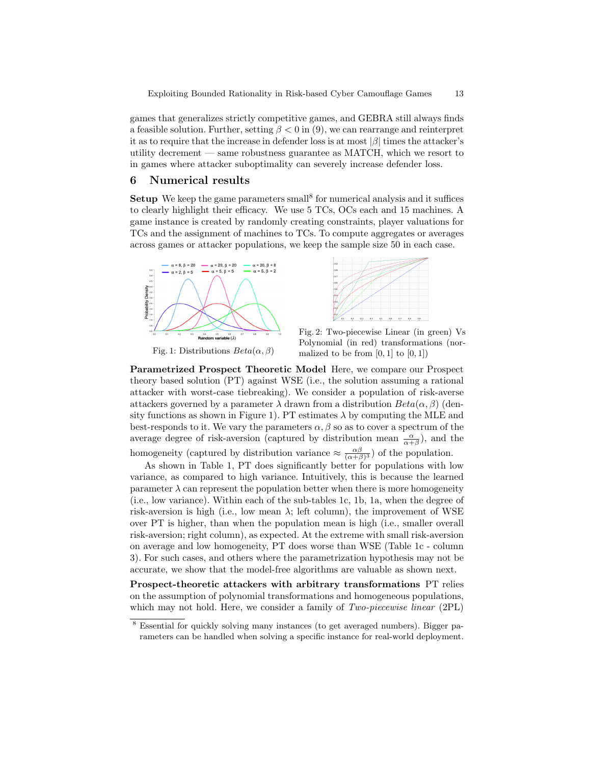games that generalizes strictly competitive games, and GEBRA still always finds a feasible solution. Further, setting  $\beta < 0$  in (9), we can rearrange and reinterpret it as to require that the increase in defender loss is at most  $|\beta|$  times the attacker's utility decrement — same robustness guarantee as MATCH, which we resort to in games where attacker suboptimality can severely increase defender loss.

## 6 Numerical results

Setup We keep the game parameters small<sup>8</sup> for numerical analysis and it suffices to clearly highlight their efficacy. We use 5 TCs, OCs each and 15 machines. A game instance is created by randomly creating constraints, player valuations for TCs and the assignment of machines to TCs. To compute aggregates or averages across games or attacker populations, we keep the sample size 50 in each case.





Fig. 2: Two-piecewise Linear (in green) Vs Polynomial (in red) transformations (normalized to be from  $[0, 1]$  to  $[0, 1]$ )

Parametrized Prospect Theoretic Model Here, we compare our Prospect theory based solution (PT) against WSE (i.e., the solution assuming a rational attacker with worst-case tiebreaking). We consider a population of risk-averse attackers governed by a parameter  $\lambda$  drawn from a distribution  $Beta(\alpha, \beta)$  (density functions as shown in Figure 1). PT estimates  $\lambda$  by computing the MLE and best-responds to it. We vary the parameters  $\alpha$ ,  $\beta$  so as to cover a spectrum of the average degree of risk-aversion (captured by distribution mean  $\frac{\alpha}{\alpha+\beta}$ ), and the homogeneity (captured by distribution variance  $\approx \frac{\alpha\beta}{(\alpha+\beta)^3}$ ) of the population.

As shown in Table 1, PT does significantly better for populations with low variance, as compared to high variance. Intuitively, this is because the learned parameter  $\lambda$  can represent the population better when there is more homogeneity (i.e., low variance). Within each of the sub-tables 1c, 1b, 1a, when the degree of risk-aversion is high (i.e., low mean  $\lambda$ ; left column), the improvement of WSE over PT is higher, than when the population mean is high (i.e., smaller overall risk-aversion; right column), as expected. At the extreme with small risk-aversion on average and low homogeneity, PT does worse than WSE (Table 1c - column 3). For such cases, and others where the parametrization hypothesis may not be accurate, we show that the model-free algorithms are valuable as shown next.

Prospect-theoretic attackers with arbitrary transformations PT relies on the assumption of polynomial transformations and homogeneous populations, which may not hold. Here, we consider a family of *Two-piecewise linear* (2PL)

<sup>8</sup> Essential for quickly solving many instances (to get averaged numbers). Bigger parameters can be handled when solving a specific instance for real-world deployment.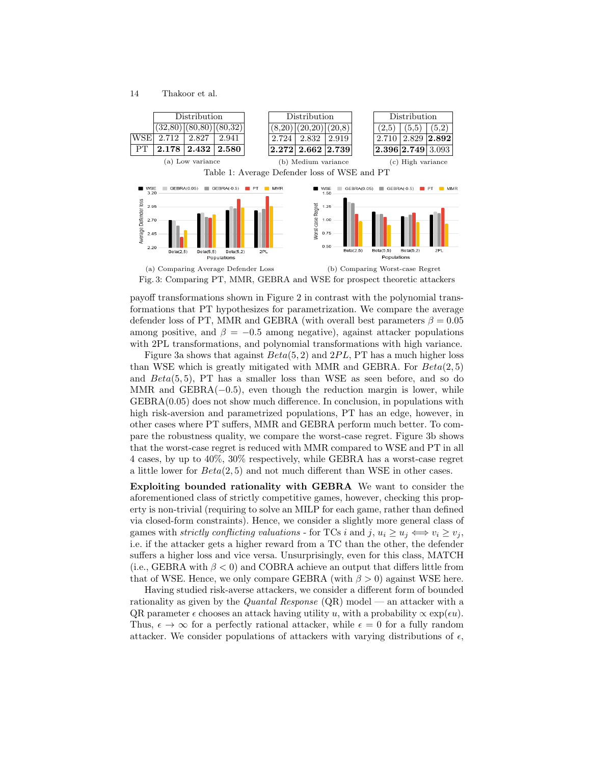

Fig. 3: Comparing PT, MMR, GEBRA and WSE for prospect theoretic attackers

payoff transformations shown in Figure 2 in contrast with the polynomial transformations that PT hypothesizes for parametrization. We compare the average defender loss of PT, MMR and GEBRA (with overall best parameters  $\beta = 0.05$ ) among positive, and  $\beta = -0.5$  among negative), against attacker populations with 2PL transformations, and polynomial transformations with high variance.

Figure 3a shows that against  $Beta(5, 2)$  and  $2PL$ , PT has a much higher loss than WSE which is greatly mitigated with MMR and GEBRA. For  $Beta(2, 5)$ and  $Beta(5, 5)$ , PT has a smaller loss than WSE as seen before, and so do MMR and  $GEBRA(-0.5)$ , even though the reduction margin is lower, while GEBRA(0.05) does not show much difference. In conclusion, in populations with high risk-aversion and parametrized populations, PT has an edge, however, in other cases where PT suffers, MMR and GEBRA perform much better. To compare the robustness quality, we compare the worst-case regret. Figure 3b shows that the worst-case regret is reduced with MMR compared to WSE and PT in all 4 cases, by up to 40%, 30% respectively, while GEBRA has a worst-case regret a little lower for  $Beta(2, 5)$  and not much different than WSE in other cases.

Exploiting bounded rationality with GEBRA We want to consider the aforementioned class of strictly competitive games, however, checking this property is non-trivial (requiring to solve an MILP for each game, rather than defined via closed-form constraints). Hence, we consider a slightly more general class of games with *strictly conflicting valuations* - for TCs *i* and *j*,  $u_i \geq u_j \iff v_i \geq v_j$ , i.e. if the attacker gets a higher reward from a TC than the other, the defender suffers a higher loss and vice versa. Unsurprisingly, even for this class, MATCH (i.e., GEBRA with  $\beta$  < 0) and COBRA achieve an output that differs little from that of WSE. Hence, we only compare GEBRA (with  $\beta > 0$ ) against WSE here.

Having studied risk-averse attackers, we consider a different form of bounded rationality as given by the *Quantal Response*  $(QR)$  model — an attacker with a QR parameter  $\epsilon$  chooses an attack having utility u, with a probability  $\propto \exp(\epsilon u)$ . Thus,  $\epsilon \to \infty$  for a perfectly rational attacker, while  $\epsilon = 0$  for a fully random attacker. We consider populations of attackers with varying distributions of  $\epsilon$ ,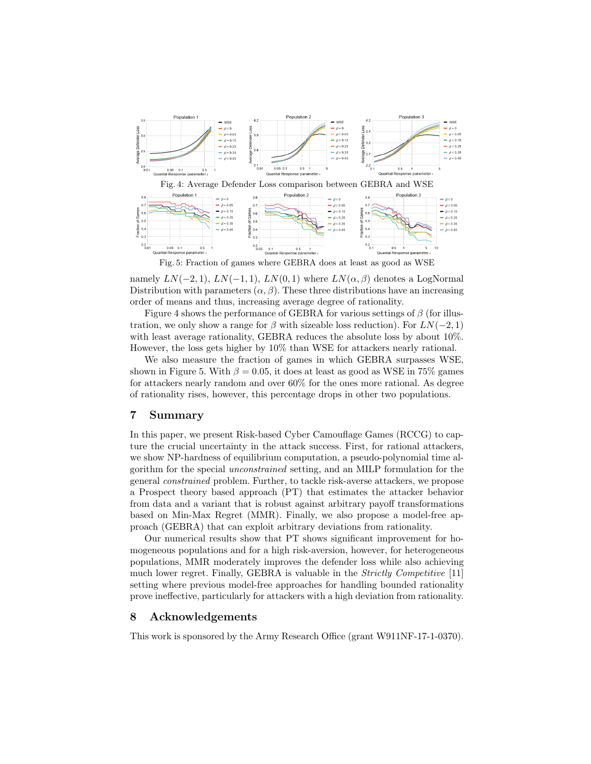

Fig. 5: Fraction of games where GEBRA does at least as good as WSE

namely  $LN(-2, 1), LN(-1, 1), LN(0, 1)$  where  $LN(\alpha, \beta)$  denotes a LogNormal Distribution with parameters  $(\alpha, \beta)$ . These three distributions have an increasing order of means and thus, increasing average degree of rationality.

Figure 4 shows the performance of GEBRA for various settings of  $\beta$  (for illustration, we only show a range for  $\beta$  with sizeable loss reduction). For  $LN(-2, 1)$ with least average rationality, GEBRA reduces the absolute loss by about 10%. However, the loss gets higher by 10% than WSE for attackers nearly rational.

We also measure the fraction of games in which GEBRA surpasses WSE, shown in Figure 5. With  $\beta = 0.05$ , it does at least as good as WSE in 75% games for attackers nearly random and over 60% for the ones more rational. As degree of rationality rises, however, this percentage drops in other two populations.

# 7 Summary

In this paper, we present Risk-based Cyber Camouflage Games (RCCG) to capture the crucial uncertainty in the attack success. First, for rational attackers, we show NP-hardness of equilibrium computation, a pseudo-polynomial time algorithm for the special unconstrained setting, and an MILP formulation for the general constrained problem. Further, to tackle risk-averse attackers, we propose a Prospect theory based approach (PT) that estimates the attacker behavior from data and a variant that is robust against arbitrary payoff transformations based on Min-Max Regret (MMR). Finally, we also propose a model-free approach (GEBRA) that can exploit arbitrary deviations from rationality.

Our numerical results show that PT shows significant improvement for homogeneous populations and for a high risk-aversion, however, for heterogeneous populations, MMR moderately improves the defender loss while also achieving much lower regret. Finally, GEBRA is valuable in the *Strictly Competitive* [11] setting where previous model-free approaches for handling bounded rationality prove ineffective, particularly for attackers with a high deviation from rationality.

## 8 Acknowledgements

This work is sponsored by the Army Research Office (grant W911NF-17-1-0370).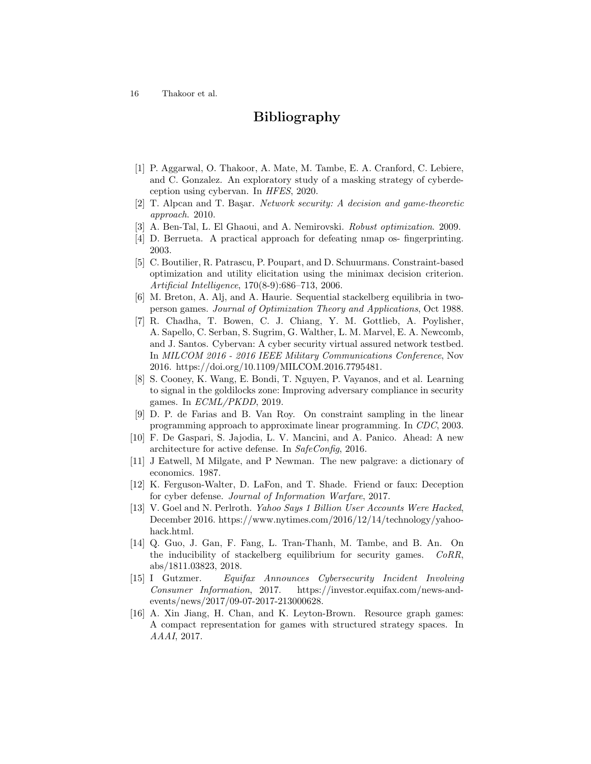# Bibliography

- [1] P. Aggarwal, O. Thakoor, A. Mate, M. Tambe, E. A. Cranford, C. Lebiere, and C. Gonzalez. An exploratory study of a masking strategy of cyberdeception using cybervan. In HFES, 2020.
- [2] T. Alpcan and T. Basar. Network security: A decision and game-theoretic approach. 2010.
- [3] A. Ben-Tal, L. El Ghaoui, and A. Nemirovski. Robust optimization. 2009.
- [4] D. Berrueta. A practical approach for defeating nmap os- fingerprinting. 2003.
- [5] C. Boutilier, R. Patrascu, P. Poupart, and D. Schuurmans. Constraint-based optimization and utility elicitation using the minimax decision criterion. Artificial Intelligence, 170(8-9):686–713, 2006.
- [6] M. Breton, A. Alj, and A. Haurie. Sequential stackelberg equilibria in twoperson games. Journal of Optimization Theory and Applications, Oct 1988.
- [7] R. Chadha, T. Bowen, C. J. Chiang, Y. M. Gottlieb, A. Poylisher, A. Sapello, C. Serban, S. Sugrim, G. Walther, L. M. Marvel, E. A. Newcomb, and J. Santos. Cybervan: A cyber security virtual assured network testbed. In MILCOM 2016 - 2016 IEEE Military Communications Conference, Nov 2016. https://doi.org/10.1109/MILCOM.2016.7795481.
- [8] S. Cooney, K. Wang, E. Bondi, T. Nguyen, P. Vayanos, and et al. Learning to signal in the goldilocks zone: Improving adversary compliance in security games. In ECML/PKDD, 2019.
- [9] D. P. de Farias and B. Van Roy. On constraint sampling in the linear programming approach to approximate linear programming. In CDC, 2003.
- [10] F. De Gaspari, S. Jajodia, L. V. Mancini, and A. Panico. Ahead: A new architecture for active defense. In SafeConfig, 2016.
- [11] J Eatwell, M Milgate, and P Newman. The new palgrave: a dictionary of economics. 1987.
- [12] K. Ferguson-Walter, D. LaFon, and T. Shade. Friend or faux: Deception for cyber defense. Journal of Information Warfare, 2017.
- [13] V. Goel and N. Perlroth. *Yahoo Says 1 Billion User Accounts Were Hacked*, December 2016. https://www.nytimes.com/2016/12/14/technology/yahoohack.html.
- [14] Q. Guo, J. Gan, F. Fang, L. Tran-Thanh, M. Tambe, and B. An. On the inducibility of stackelberg equilibrium for security games. CoRR, abs/1811.03823, 2018.
- [15] I Gutzmer. Equifax Announces Cybersecurity Incident Involving Consumer Information, 2017. https://investor.equifax.com/news-andevents/news/2017/09-07-2017-213000628.
- [16] A. Xin Jiang, H. Chan, and K. Leyton-Brown. Resource graph games: A compact representation for games with structured strategy spaces. In AAAI, 2017.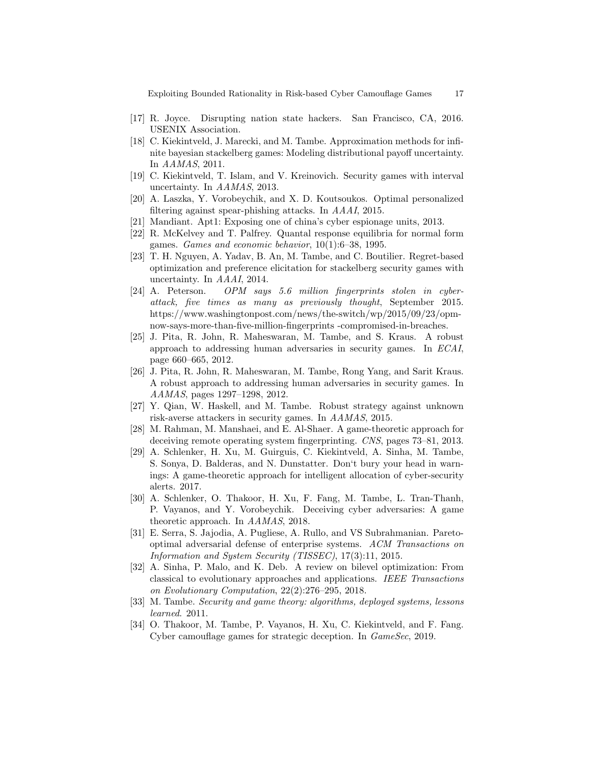- [17] R. Joyce. Disrupting nation state hackers. San Francisco, CA, 2016. USENIX Association.
- [18] C. Kiekintveld, J. Marecki, and M. Tambe. Approximation methods for infinite bayesian stackelberg games: Modeling distributional payoff uncertainty. In AAMAS, 2011.
- [19] C. Kiekintveld, T. Islam, and V. Kreinovich. Security games with interval uncertainty. In AAMAS, 2013.
- [20] A. Laszka, Y. Vorobeychik, and X. D. Koutsoukos. Optimal personalized filtering against spear-phishing attacks. In AAAI, 2015.
- [21] Mandiant. Apt1: Exposing one of china's cyber espionage units, 2013.
- [22] R. McKelvey and T. Palfrey. Quantal response equilibria for normal form games. Games and economic behavior, 10(1):6–38, 1995.
- [23] T. H. Nguyen, A. Yadav, B. An, M. Tambe, and C. Boutilier. Regret-based optimization and preference elicitation for stackelberg security games with uncertainty. In AAAI, 2014.
- [24] A. Peterson. OPM says 5.6 million fingerprints stolen in cyberattack, five times as many as previously thought, September 2015. https://www.washingtonpost.com/news/the-switch/wp/2015/09/23/opmnow-says-more-than-five-million-fingerprints -compromised-in-breaches.
- [25] J. Pita, R. John, R. Maheswaran, M. Tambe, and S. Kraus. A robust approach to addressing human adversaries in security games. In ECAI, page 660–665, 2012.
- [26] J. Pita, R. John, R. Maheswaran, M. Tambe, Rong Yang, and Sarit Kraus. A robust approach to addressing human adversaries in security games. In AAMAS, pages 1297–1298, 2012.
- [27] Y. Qian, W. Haskell, and M. Tambe. Robust strategy against unknown risk-averse attackers in security games. In AAMAS, 2015.
- [28] M. Rahman, M. Manshaei, and E. Al-Shaer. A game-theoretic approach for deceiving remote operating system fingerprinting. CNS, pages 73–81, 2013.
- [29] A. Schlenker, H. Xu, M. Guirguis, C. Kiekintveld, A. Sinha, M. Tambe, S. Sonya, D. Balderas, and N. Dunstatter. Don't bury your head in warnings: A game-theoretic approach for intelligent allocation of cyber-security alerts. 2017.
- [30] A. Schlenker, O. Thakoor, H. Xu, F. Fang, M. Tambe, L. Tran-Thanh, P. Vayanos, and Y. Vorobeychik. Deceiving cyber adversaries: A game theoretic approach. In AAMAS, 2018.
- [31] E. Serra, S. Jajodia, A. Pugliese, A. Rullo, and VS Subrahmanian. Paretooptimal adversarial defense of enterprise systems. ACM Transactions on Information and System Security (TISSEC), 17(3):11, 2015.
- [32] A. Sinha, P. Malo, and K. Deb. A review on bilevel optimization: From classical to evolutionary approaches and applications. IEEE Transactions on Evolutionary Computation, 22(2):276–295, 2018.
- [33] M. Tambe. Security and game theory: algorithms, deployed systems, lessons learned. 2011.
- [34] O. Thakoor, M. Tambe, P. Vayanos, H. Xu, C. Kiekintveld, and F. Fang. Cyber camouflage games for strategic deception. In GameSec, 2019.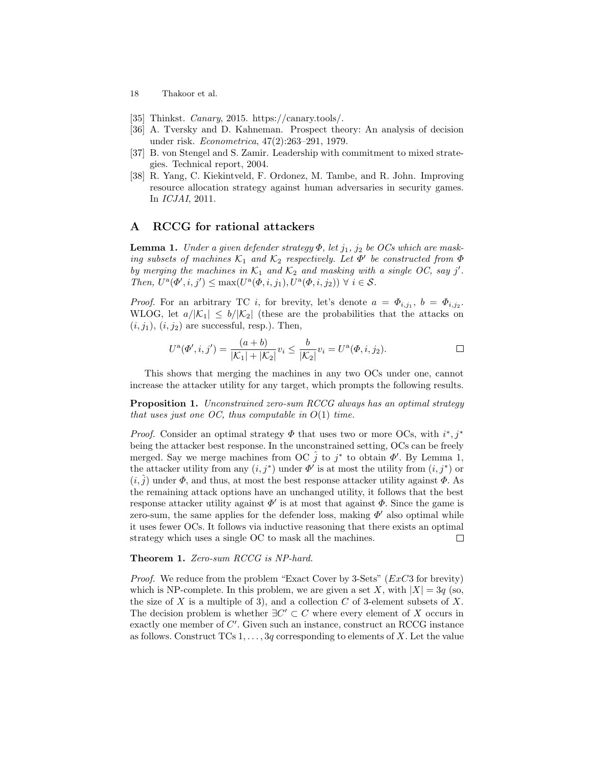- 18 Thakoor et al.
- [35] Thinkst. Canary, 2015. https://canary.tools/.
- [36] A. Tversky and D. Kahneman. Prospect theory: An analysis of decision under risk. Econometrica, 47(2):263–291, 1979.
- [37] B. von Stengel and S. Zamir. Leadership with commitment to mixed strategies. Technical report, 2004.
- [38] R. Yang, C. Kiekintveld, F. Ordonez, M. Tambe, and R. John. Improving resource allocation strategy against human adversaries in security games. In ICJAI, 2011.

## A RCCG for rational attackers

**Lemma 1.** Under a given defender strategy  $\Phi$ , let  $j_1$ ,  $j_2$  be OCs which are masking subsets of machines  $K_1$  and  $K_2$  respectively. Let  $\Phi'$  be constructed from  $\Phi$ by merging the machines in  $K_1$  and  $K_2$  and masking with a single OC, say j'. Then,  $U^{\mathbf{a}}(\Phi', i, j') \leq \max(U^{\mathbf{a}}(\Phi, i, j_1), U^{\mathbf{a}}(\Phi, i, j_2)) \ \forall \ i \in \mathcal{S}.$ 

*Proof.* For an arbitrary TC *i*, for brevity, let's denote  $a = \Phi_{i,j_1}, b = \Phi_{i,j_2}$ . WLOG, let  $a/|\mathcal{K}_1| \le b/|\mathcal{K}_2|$  (these are the probabilities that the attacks on  $(i, j_1), (i, j_2)$  are successful, resp.). Then,

$$
U^{a}(\Phi', i, j') = \frac{(a+b)}{|\mathcal{K}_{1}| + |\mathcal{K}_{2}|} v_{i} \le \frac{b}{|\mathcal{K}_{2}|} v_{i} = U^{a}(\Phi, i, j_{2}).
$$

This shows that merging the machines in any two OCs under one, cannot increase the attacker utility for any target, which prompts the following results.

Proposition 1. Unconstrained zero-sum RCCG always has an optimal strategy that uses just one OC, thus computable in  $O(1)$  time.

*Proof.* Consider an optimal strategy  $\Phi$  that uses two or more OCs, with  $i^*, j^*$ being the attacker best response. In the unconstrained setting, OCs can be freely merged. Say we merge machines from OC  $\hat{j}$  to  $j^*$  to obtain  $\Phi'$ . By Lemma 1, the attacker utility from any  $(i, j^*)$  under  $\Phi'$  is at most the utility from  $(i, j^*)$  or  $(i, j)$  under  $\Phi$ , and thus, at most the best response attacker utility against  $\Phi$ . As the remaining attack options have an unchanged utility, it follows that the best response attacker utility against  $\Phi'$  is at most that against  $\Phi$ . Since the game is zero-sum, the same applies for the defender loss, making  $\Phi'$  also optimal while it uses fewer OCs. It follows via inductive reasoning that there exists an optimal strategy which uses a single OC to mask all the machines.  $\Box$ 

# Theorem 1. Zero-sum RCCG is NP-hard.

*Proof.* We reduce from the problem "Exact Cover by  $3$ -Sets" ( $ExC3$  for brevity) which is NP-complete. In this problem, we are given a set X, with  $|X| = 3q$  (so, the size of X is a multiple of 3), and a collection  $C$  of 3-element subsets of X. The decision problem is whether  $\exists C' \subset C$  where every element of X occurs in exactly one member of  $C'$ . Given such an instance, construct an RCCG instance as follows. Construct TCs  $1, \ldots, 3q$  corresponding to elements of X. Let the value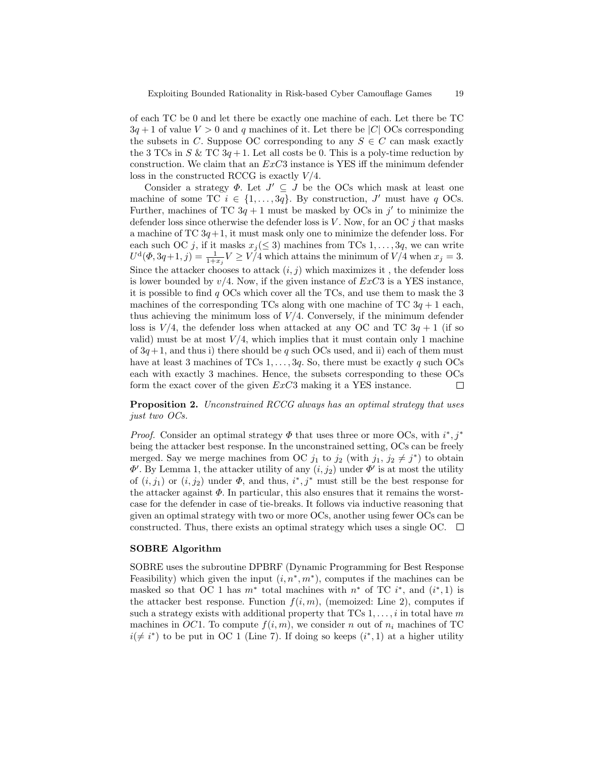of each TC be 0 and let there be exactly one machine of each. Let there be TC  $3q + 1$  of value  $V > 0$  and q machines of it. Let there be |C| OCs corresponding the subsets in C. Suppose OC corresponding to any  $S \in \mathbb{C}$  can mask exactly the 3 TCs in S & TC  $3q+1$ . Let all costs be 0. This is a poly-time reduction by construction. We claim that an  $ExC3$  instance is YES iff the minimum defender loss in the constructed RCCG is exactly  $V/4$ .

Consider a strategy  $\Phi$ . Let  $J' \subseteq J$  be the OCs which mask at least one machine of some TC  $i \in \{1, \ldots, 3q\}$ . By construction, J' must have q OCs. Further, machines of TC  $3q + 1$  must be masked by OCs in j' to minimize the defender loss since otherwise the defender loss is  $V$ . Now, for an OC  $j$  that masks a machine of TC  $3q+1$ , it must mask only one to minimize the defender loss. For each such OC j, if it masks  $x_j \leq 3$ ) machines from TCs 1, ..., 3q, we can write  $U^{\mathrm{d}}(\Phi,3q+1,j)=\frac{1}{1+x_j}V\geq V/4$  which attains the minimum of  $V/4$  when  $x_j=3$ . Since the attacker chooses to attack  $(i, j)$  which maximizes it, the defender loss is lower bounded by  $v/4$ . Now, if the given instance of  $ExC3$  is a YES instance, it is possible to find  $q$  OCs which cover all the TCs, and use them to mask the 3 machines of the corresponding TCs along with one machine of TC  $3q + 1$  each, thus achieving the minimum loss of  $V/4$ . Conversely, if the minimum defender loss is  $V/4$ , the defender loss when attacked at any OC and TC  $3q + 1$  (if so valid) must be at most  $V/4$ , which implies that it must contain only 1 machine of  $3q+1$ , and thus i) there should be q such OCs used, and ii) each of them must have at least 3 machines of TCs  $1, \ldots, 3q$ . So, there must be exactly q such OCs each with exactly 3 machines. Hence, the subsets corresponding to these OCs form the exact cover of the given ExC3 making it a YES instance.  $\Box$ 

Proposition 2. Unconstrained RCCG always has an optimal strategy that uses just two OCs.

*Proof.* Consider an optimal strategy  $\Phi$  that uses three or more OCs, with  $i^*, j^*$ being the attacker best response. In the unconstrained setting, OCs can be freely merged. Say we merge machines from OC  $j_1$  to  $j_2$  (with  $j_1, j_2 \neq j^*$ ) to obtain  $\Phi'$ . By Lemma 1, the attacker utility of any  $(i, j_2)$  under  $\Phi'$  is at most the utility of  $(i, j_1)$  or  $(i, j_2)$  under  $\Phi$ , and thus,  $i^*, j^*$  must still be the best response for the attacker against  $\Phi$ . In particular, this also ensures that it remains the worstcase for the defender in case of tie-breaks. It follows via inductive reasoning that given an optimal strategy with two or more OCs, another using fewer OCs can be constructed. Thus, there exists an optimal strategy which uses a single OC.  $\Box$ 

#### SOBRE Algorithm

SOBRE uses the subroutine DPBRF (Dynamic Programming for Best Response Feasibility) which given the input  $(i, n^*, m^*)$ , computes if the machines can be masked so that OC 1 has  $m^*$  total machines with  $n^*$  of TC  $i^*$ , and  $(i^*, 1)$  is the attacker best response. Function  $f(i, m)$ , (memoized: Line 2), computes if such a strategy exists with additional property that  $TCs 1, \ldots, i$  in total have m machines in OC1. To compute  $f(i, m)$ , we consider n out of  $n_i$  machines of TC  $i(\neq i^*)$  to be put in OC 1 (Line 7). If doing so keeps  $(i^*, 1)$  at a higher utility